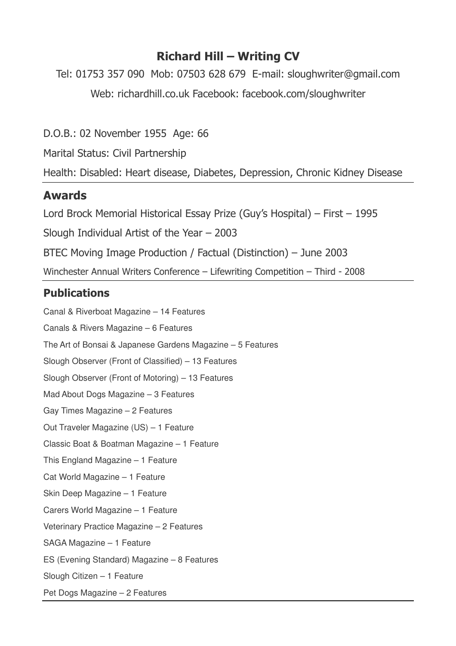## **Richard Hill – Writing CV**

Tel: 01753 357 090 Mob: 07503 628 679 E-mail: sloughwriter@gmail.com Web: richardhill.co.uk Facebook: facebook.com/sloughwriter

D.O.B.: 02 November 1955 Age: 66

Marital Status: Civil Partnership

Health: Disabled: Heart disease, Diabetes, Depression, Chronic Kidney Disease

## **Awards**

Lord Brock Memorial Historical Essay Prize (Guy's Hospital) – First – 1995

Slough Individual Artist of the Year – 2003

BTEC Moving Image Production / Factual (Distinction) – June 2003

Winchester Annual Writers Conference – Lifewriting Competition – Third - 2008

## **Publications**

Canal & Riverboat Magazine – 14 Features Canals & Rivers Magazine – 6 Features The Art of Bonsai & Japanese Gardens Magazine – 5 Features Slough Observer (Front of Classified) – 13 Features Slough Observer (Front of Motoring) – 13 Features Mad About Dogs Magazine – 3 Features Gay Times Magazine – 2 Features Out Traveler Magazine (US) – 1 Feature Classic Boat & Boatman Magazine – 1 Feature This England Magazine – 1 Feature Cat World Magazine – 1 Feature Skin Deep Magazine – 1 Feature Carers World Magazine – 1 Feature Veterinary Practice Magazine – 2 Features SAGA Magazine – 1 Feature ES (Evening Standard) Magazine – 8 Features Slough Citizen – 1 Feature Pet Dogs Magazine – 2 Features